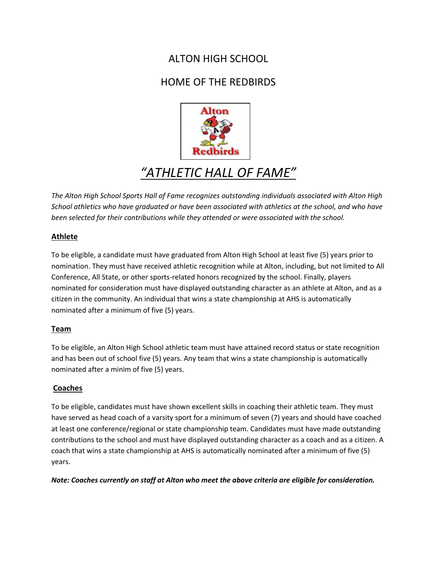# ALTON HIGH SCHOOL

## HOME OF THE REDBIRDS



# *"ATHLETIC HALL OF FAME"*

*The Alton High School Sports Hall of Fame recognizes outstanding individuals associated with Alton High School athletics who have graduated or have been associated with athletics at the school, and who have been selected for their contributions while they attended or were associated with the school.* 

#### **Athlete**

To be eligible, a candidate must have graduated from Alton High School at least five (5) years prior to nomination. They must have received athletic recognition while at Alton, including, but not limited to All Conference, All State, or other sports-related honors recognized by the school. Finally, players nominated for consideration must have displayed outstanding character as an athlete at Alton, and as a citizen in the community. An individual that wins a state championship at AHS is automatically nominated after a minimum of five (5) years.

### **Team**

To be eligible, an Alton High School athletic team must have attained record status or state recognition and has been out of school five (5) years. Any team that wins a state championship is automatically nominated after a minim of five (5) years.

### **Coaches**

To be eligible, candidates must have shown excellent skills in coaching their athletic team. They must have served as head coach of a varsity sport for a minimum of seven (7) years and should have coached at least one conference/regional or state championship team. Candidates must have made outstanding contributions to the school and must have displayed outstanding character as a coach and as a citizen. A coach that wins a state championship at AHS is automatically nominated after a minimum of five (5) years.

*Note: Coaches currently on staff at Alton who meet the above criteria are eligible for consideration.*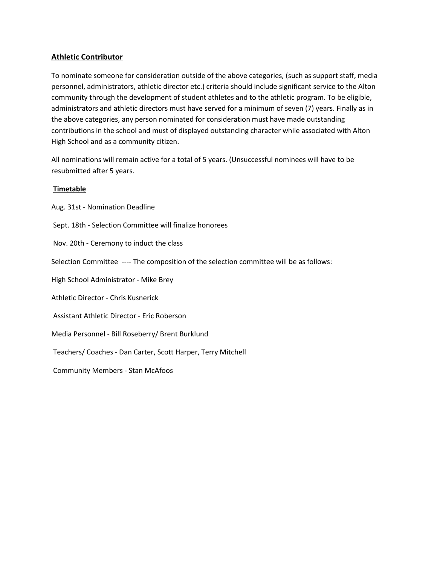#### **Athletic Contributor**

To nominate someone for consideration outside of the above categories, (such as support staff, media personnel, administrators, athletic director etc.) criteria should include significant service to the Alton community through the development of student athletes and to the athletic program. To be eligible, administrators and athletic directors must have served for a minimum of seven (7) years. Finally as in the above categories, any person nominated for consideration must have made outstanding contributions in the school and must of displayed outstanding character while associated with Alton High School and as a community citizen.

All nominations will remain active for a total of 5 years. (Unsuccessful nominees will have to be resubmitted after 5 years.

#### **Timetable**

Aug. 31st - Nomination Deadline Sept. 18th - Selection Committee will finalize honorees Nov. 20th - Ceremony to induct the class Selection Committee ---- The composition of the selection committee will be as follows: High School Administrator - Mike Brey Athletic Director - Chris Kusnerick Assistant Athletic Director - Eric Roberson Media Personnel - Bill Roseberry/ Brent Burklund Teachers/ Coaches - Dan Carter, Scott Harper, Terry Mitchell Community Members - Stan McAfoos